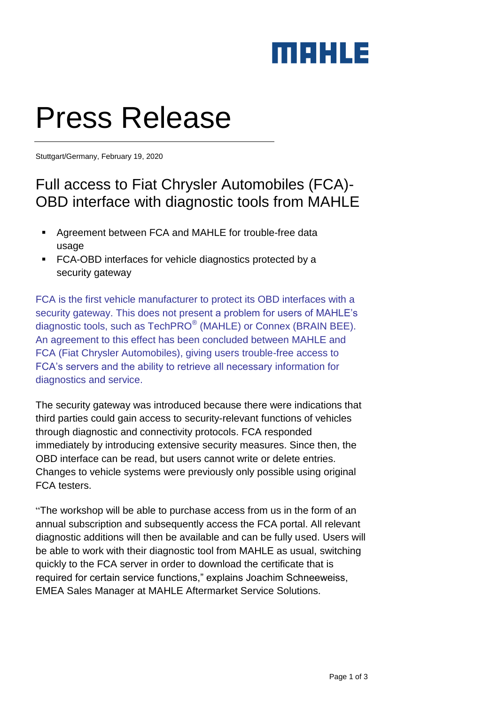

# Press Release

Stuttgart/Germany, February 19, 2020

## Full access to Fiat Chrysler Automobiles (FCA)- OBD interface with diagnostic tools from MAHLE

- Agreement between FCA and MAHLE for trouble-free data usage
- **FCA-OBD** interfaces for vehicle diagnostics protected by a security gateway

FCA is the first vehicle manufacturer to protect its OBD interfaces with a security gateway. This does not present a problem for users of MAHLE's diagnostic tools, such as TechPRO<sup>®</sup> (MAHLE) or Connex (BRAIN BEE). An agreement to this effect has been concluded between MAHLE and FCA (Fiat Chrysler Automobiles), giving users trouble-free access to FCA's servers and the ability to retrieve all necessary information for diagnostics and service.

The security gateway was introduced because there were indications that third parties could gain access to security-relevant functions of vehicles through diagnostic and connectivity protocols. FCA responded immediately by introducing extensive security measures. Since then, the OBD interface can be read, but users cannot write or delete entries. Changes to vehicle systems were previously only possible using original FCA testers.

"The [workshop](https://www.autoservicepraxis.de/themenspecials/werkstatt-854176.html) will be able to purchase access from us in the form of an annual subscription and subsequently access the FCA portal. All relevant diagnostic additions will then be available and can be fully used. Users will be able to work with their diagnostic tool from MAHLE as usual, switching quickly to the FCA server in order to download the certificate that is required for certain service functions," explains Joachim Schneeweiss, EMEA Sales Manager at MAHLE Aftermarket Service Solutions.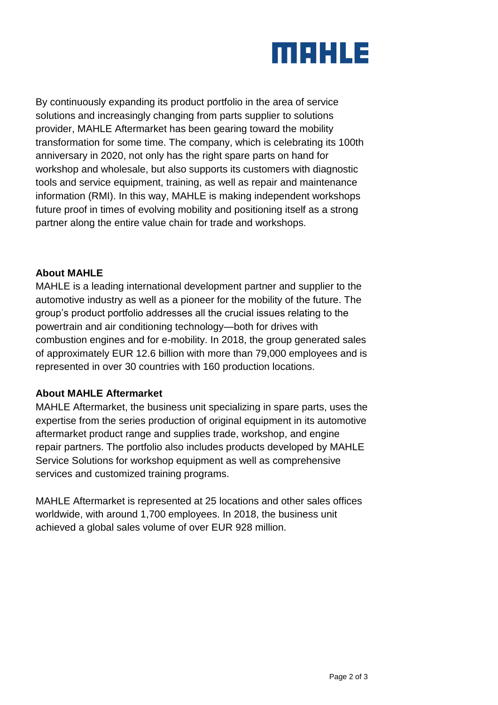

By continuously expanding its product portfolio in the area of service solutions and increasingly changing from parts supplier to solutions provider, MAHLE Aftermarket has been gearing toward the mobility transformation for some time. The company, which is celebrating its 100th anniversary in 2020, not only has the right spare parts on hand for workshop and wholesale, but also supports its customers with diagnostic tools and service equipment, training, as well as repair and maintenance information (RMI). In this way, MAHLE is making independent workshops future proof in times of evolving mobility and positioning itself as a strong partner along the entire value chain for trade and workshops.

#### **About MAHLE**

MAHLE is a leading international development partner and supplier to the automotive industry as well as a pioneer for the mobility of the future. The group's product portfolio addresses all the crucial issues relating to the powertrain and air conditioning technology—both for drives with combustion engines and for e-mobility. In 2018, the group generated sales of approximately EUR 12.6 billion with more than 79,000 employees and is represented in over 30 countries with 160 production locations.

#### **About MAHLE Aftermarket**

MAHLE Aftermarket, the business unit specializing in spare parts, uses the expertise from the series production of original equipment in its automotive aftermarket product range and supplies trade, workshop, and engine repair partners. The portfolio also includes products developed by MAHLE Service Solutions for workshop equipment as well as comprehensive services and customized training programs.

MAHLE Aftermarket is represented at 25 locations and other sales offices worldwide, with around 1,700 employees. In 2018, the business unit achieved a global sales volume of over EUR 928 million.